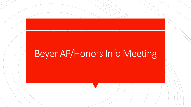# Beyer AP/Honors Info Meeting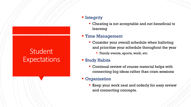# **Student Expectations**

#### **·** Integrity

**EX Cheating is not acceptable and not beneficial to** learning

#### **Time Management**

- **EX Consider your overall schedule when balloting** and prioritize your schedule throughout the year
	- Family events, sports, work, etc.

#### **E** Study Habits

**EX Continual review of course material helps with** connecting big ideas rather than cram sessions

#### **• Organization**

**E** Keep your work neat and orderly for easy review and connecting concepts.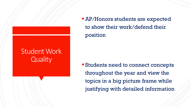### Student Work **Quality**

**EXP/Honors students are expected** to show their work/defend their position

■ Students need to connect concepts throughout the year and view the topics in a big picture frame while justifying with detailed information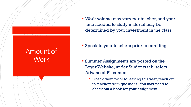### Amount of **Work**

**EX Work volume may vary per teacher, and your** time needed to study material may be determined by your investment in the class.

**Example 1 Speak to your teachers prior to enrolling** 

- **Example 3 Summer Assignments are posted on the** Beyer Website, under Students tab, select Advanced Placement
	- Check them prior to leaving this year, reach out to teachers with questions. You may need to check out a book for your assignment.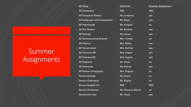## Summer Assignments

| <b>Summer Assignment</b> |
|--------------------------|
|                          |
|                          |
|                          |
|                          |
|                          |
|                          |
|                          |
|                          |
|                          |
|                          |
|                          |
|                          |
|                          |
|                          |
|                          |
|                          |
|                          |
|                          |
|                          |
|                          |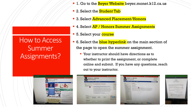- 1. Go to the <mark>Beyer Website</mark> beyer.monet.k12.ca.us
- 2. Select the **Student Tab**
- **B. Select Advanced Placement/Honors**
- **4. Select AP / Honors Summer Assignments**
- 5. Select your course
- 6. Select the blue hyperlink on the main section of the page to open the summer assignment.
	- Your instructor should have directions as to whether to print the assignment, or complete online and submit. If you have any questions, reach out to your instructor.



How to Access

Summer

Assignments?



|                                                                                                                                                                                                                                                                                                                                                                                                                                                                                                                                                                                   |                                                                                                                                                                                                                                                                                                                                                                                                                                                                                                                                                                                                                                                                                                                                                          | (6) Modesto City Schools   Calendar   Contact Us   Translate                                                                                                                                                                                                                                                                                                                                                                                                                                                                                                                                                                                                                                                                                                                                                                                                                                                                                                                                                                                                                                                                                                                                                                                                                                                                                                                                                                                                                                                                                                                                                                                                     |
|-----------------------------------------------------------------------------------------------------------------------------------------------------------------------------------------------------------------------------------------------------------------------------------------------------------------------------------------------------------------------------------------------------------------------------------------------------------------------------------------------------------------------------------------------------------------------------------|----------------------------------------------------------------------------------------------------------------------------------------------------------------------------------------------------------------------------------------------------------------------------------------------------------------------------------------------------------------------------------------------------------------------------------------------------------------------------------------------------------------------------------------------------------------------------------------------------------------------------------------------------------------------------------------------------------------------------------------------------------|------------------------------------------------------------------------------------------------------------------------------------------------------------------------------------------------------------------------------------------------------------------------------------------------------------------------------------------------------------------------------------------------------------------------------------------------------------------------------------------------------------------------------------------------------------------------------------------------------------------------------------------------------------------------------------------------------------------------------------------------------------------------------------------------------------------------------------------------------------------------------------------------------------------------------------------------------------------------------------------------------------------------------------------------------------------------------------------------------------------------------------------------------------------------------------------------------------------------------------------------------------------------------------------------------------------------------------------------------------------------------------------------------------------------------------------------------------------------------------------------------------------------------------------------------------------------------------------------------------------------------------------------------------------|
| <b>THE HIGH SCHOOL</b><br><b>School</b><br><b>Students</b>                                                                                                                                                                                                                                                                                                                                                                                                                                                                                                                        | FRED C. BEYER                                                                                                                                                                                                                                                                                                                                                                                                                                                                                                                                                                                                                                                                                                                                            | $118$ = 100 + 00 0<br><b>Fritcipal Dan Pack</b><br>1737 Sulvan Avenue<br>Medem CA 05255<br>AP Plymout 1<br>HAVE 7 a.m.-4 p.m.<br>209.574.1647<br><b>Summer Assignment</b>                                                                                                                                                                                                                                                                                                                                                                                                                                                                                                                                                                                                                                                                                                                                                                                                                                                                                                                                                                                                                                                                                                                                                                                                                                                                                                                                                                                                                                                                                        |
|                                                                                                                                                                                                                                                                                                                                                                                                                                                                                                                                                                                   | <b>Parents</b><br>Staff<br><b>Athletics</b>                                                                                                                                                                                                                                                                                                                                                                                                                                                                                                                                                                                                                                                                                                              | AP Physics 1 - Summer Accignment<br>Sinarch                                                                                                                                                                                                                                                                                                                                                                                                                                                                                                                                                                                                                                                                                                                                                                                                                                                                                                                                                                                                                                                                                                                                                                                                                                                                                                                                                                                                                                                                                                                                                                                                                      |
| <b>BARNELL</b>                                                                                                                                                                                                                                                                                                                                                                                                                                                                                                                                                                    | Students - Advanced Hacement - Ap Honors Summer Assuranced - Ap Physics<br><b>AP Physics</b>                                                                                                                                                                                                                                                                                                                                                                                                                                                                                                                                                                                                                                                             |                                                                                                                                                                                                                                                                                                                                                                                                                                                                                                                                                                                                                                                                                                                                                                                                                                                                                                                                                                                                                                                                                                                                                                                                                                                                                                                                                                                                                                                                                                                                                                                                                                                                  |
| AP-Honors Summer<br>AGGREENAND<br>AD Ratings<br><b>ED-Culturing AT</b><br>AP Calculus RC<br>AP English University (Sr)<br>AP Environmental Source<br><b>WELLHOAM HISTORY</b><br><b>ID Governors</b><br><b>AP Human Gregority</b><br><b>AP Language and</b><br><b>Languages</b><br><b>PLAD THURSTER</b><br><b>AD Reprintings</b><br><b>JAP Scentrald</b><br><b>AP IS 5. Migues</b><br><b>Warners Aldeland</b><br><b>Hannon Bankers</b><br>Perry's December<br>Names from the<br><b>Month Elizabet 2-4</b><br><b>Harmer Germany</b><br><b>Marine Property</b><br><b>Quick Links</b> | Instructor: DoNee Miller<br>Updated S/6/2020<br>Summer Assignment AP Physics 1<br>Wakame to AP Physics 1. This Coul Hysen survive: Jase will be chickenging. AP classics are hospit on<br>college courses-not just collage level courses, but ortual college courses. This means that if you're having<br>trouble with something, you read to be presched obout it oming it, either by ceming in for help after echoal<br>or contacting with your classmates. Recreative-your job is to succeed, my job is to do averything in my<br>power to help you be successful. I will work way hard to propose lessons and activities to help you be<br>successful and I expect you to work hard too.<br><br>Cap and General Hart Lines. Dietary Institute States | thricone to AP Ply ALL This searse and the AP court will be challenging. AP classes are taught<br>college sturpen + Pol. just college level courses, but school college courses. This metals that if you'll<br>having treatist with persenting, you need to be potential about increased it, wither the contag in for-<br>after school or complicing with applicationaries.<br>The summer acceptional is a review of the much recording for the nit Physics it course. These higher<br>were part of oner experiences in the promopolite much and shience courses. We will use those olds<br>LEASURY Principles on AF Physics course. The should prover all of the positions and bring the<br>to the farm-took of the amend your. There will be a short text on the material during the first full way<br>ishiat.<br>Peace lag is faith AP Diseasers and read the land, to the nation an Peakon, Artist & Jord Acceleration.<br>and Representations of Motion. Please complete the corresponding Tomi downtown or Unit 1.<br>Mary Dentector's collectivity and<br>Prince engline if you will be above togets on to complica it and anywing air class are at<br>miller can division ASS cans-<br>Assortionmaked Septies for AP Physics 12<br>. Income the subsidiary. It shows not need b) for a grow-long colouriest, \$1 might your and residences in<br>over a governing colourable if you do many hand cred.<br>- Tring Moder<br>4 Non-Subject relationship (entry and he would be included). This other will be the in most colour<br>. Performance for Management and Including Columbia and Printers of Russian above<br><b>C C T C C</b><br><b>Councer</b> |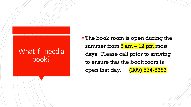### What if I need a book?

**The book room is open during the** summer from  $8$  am  $-$  12 pm most days. Please call prior to arriving to ensure that the book room is open that day. (209) 574-8683